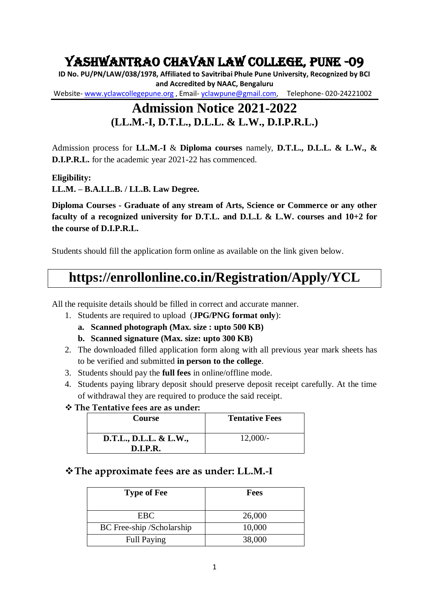# Yashwantrao Chavan Law College, Pune -09

**ID No. PU/PN/LAW/038/1978, Affiliated to Savitribai Phule Pune University, Recognized by BCI and Accredited by NAAC, Bengaluru** Website- [www.yclawcollegepune.org](http://www.yclawcollegepune.org/) , Email- [yclawpune@gmail.com,](mailto:yclawpune@gmail.com) Telephone- 020-24221002

## **Admission Notice 2021-2022 (LL.M.-I, D.T.L., D.L.L. & L.W., D.I.P.R.L.)**

Admission process for **LL.M.-I** & **Diploma courses** namely, **D.T.L., D.L.L. & L.W., & D.I.P.R.L.** for the academic year 2021-22 has commenced.

**Eligibility:**

**LL.M. – B.A.LL.B. / LL.B. Law Degree.** 

**Diploma Courses - Graduate of any stream of Arts, Science or Commerce or any other faculty of a recognized university for D.T.L. and D.L.L & L.W. courses and 10+2 for the course of D.I.P.R.L.**

Students should fill the application form online as available on the link given below.

# **https://enrollonline.co.in/Registration/Apply/YCL**

All the requisite details should be filled in correct and accurate manner.

- 1. Students are required to upload (**JPG/PNG format only**):
	- **a. Scanned photograph (Max. size : upto 500 KB)**
	- **b. Scanned signature (Max. size: upto 300 KB)**
- 2. The downloaded filled application form along with all previous year mark sheets has to be verified and submitted **in person to the college**.
- 3. Students should pay the **full fees** in online/offline mode.
- 4. Students paying library deposit should preserve deposit receipt carefully. At the time of withdrawal they are required to produce the said receipt.
- **The Tentative fees are as under:**

| <b>Course</b>                             | <b>Tentative Fees</b> |
|-------------------------------------------|-----------------------|
| D.T.L., D.L.L. & L.W.,<br><b>D.I.P.R.</b> | $12,000/-$            |

### **The approximate fees are as under: LL.M.-I**

| <b>Type of Fee</b>        | <b>Fees</b> |
|---------------------------|-------------|
| EBC.                      | 26,000      |
| BC Free-ship /Scholarship | 10,000      |
| <b>Full Paying</b>        | 38,000      |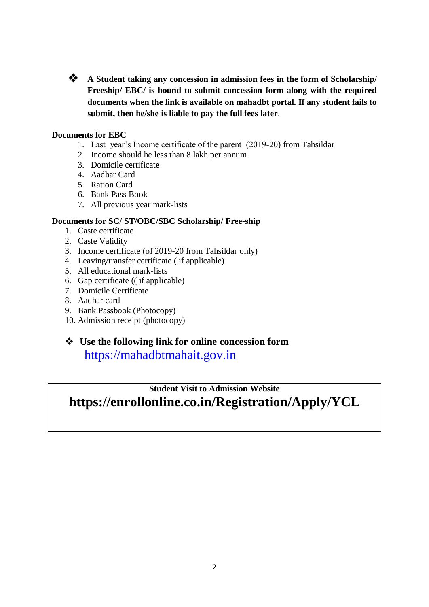

**A** Student taking any concession in admission fees in the form of Scholarship/ **Freeship/ EBC/ is bound to submit concession form along with the required documents when the link is available on mahadbt portal. If any student fails to submit, then he/she is liable to pay the full fees later**.

### **Documents for EBC**

- 1. Last year's Income certificate of the parent (2019-20) from Tahsildar
- 2. Income should be less than 8 lakh per annum
- 3. Domicile certificate
- 4. Aadhar Card
- 5. Ration Card
- 6. Bank Pass Book
- 7. All previous year mark-lists

#### **Documents for SC/ ST/OBC/SBC Scholarship/ Free-ship**

- 1. Caste certificate
- 2. Caste Validity
- 3. Income certificate (of 2019-20 from Tahsildar only)
- 4. Leaving/transfer certificate ( if applicable)
- 5. All educational mark-lists
- 6. Gap certificate (( if applicable)
- 7. Domicile Certificate
- 8. Aadhar card
- 9. Bank Passbook (Photocopy)
- 10. Admission receipt (photocopy)
- **Use the following link for online concession form**  [https://mahadbtmahait.gov.in](https://mahadbtmahait.gov.in/)

**Student Visit to Admission Website https://enrollonline.co.in/Registration/Apply/YCL**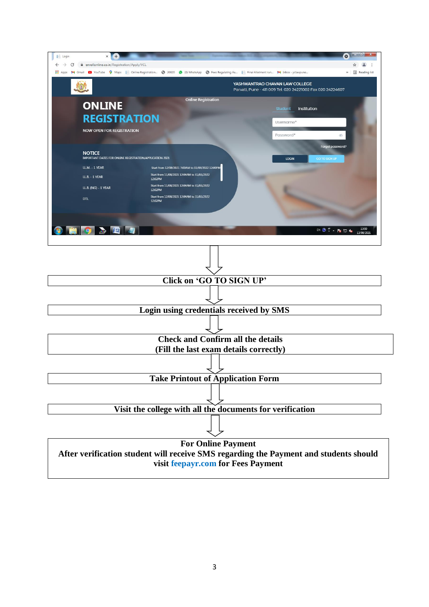